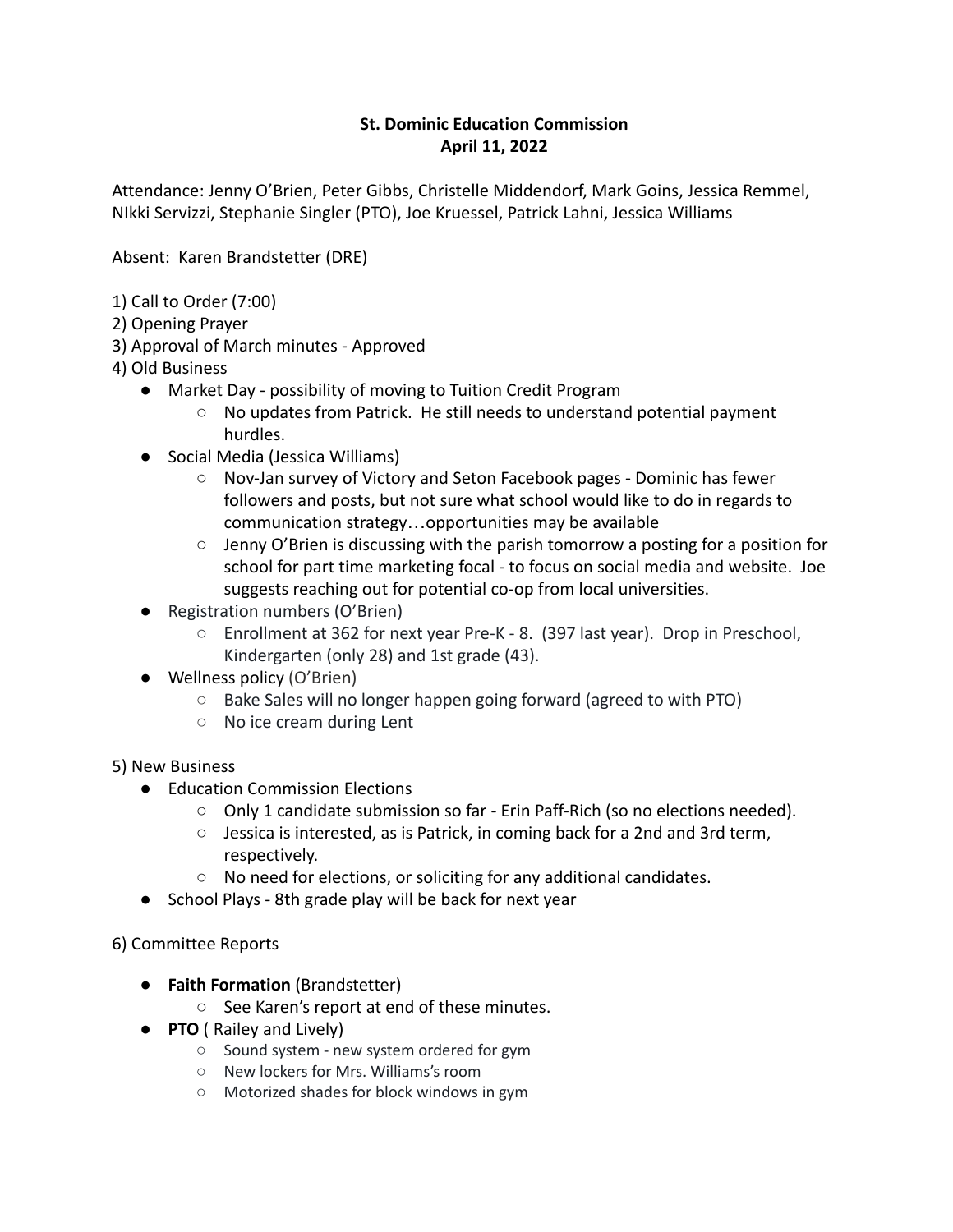## **St. Dominic Education Commission April 11, 2022**

Attendance: Jenny O'Brien, Peter Gibbs, Christelle Middendorf, Mark Goins, Jessica Remmel, NIkki Servizzi, Stephanie Singler (PTO), Joe Kruessel, Patrick Lahni, Jessica Williams

Absent: Karen Brandstetter (DRE)

- 1) Call to Order (7:00)
- 2) Opening Prayer
- 3) Approval of March minutes Approved
- 4) Old Business
	- Market Day possibility of moving to Tuition Credit Program
		- No updates from Patrick. He still needs to understand potential payment hurdles.
	- Social Media (Jessica Williams)
		- Nov-Jan survey of Victory and Seton Facebook pages Dominic has fewer followers and posts, but not sure what school would like to do in regards to communication strategy…opportunities may be available
		- $\circ$  Jenny O'Brien is discussing with the parish tomorrow a posting for a position for school for part time marketing focal - to focus on social media and website. Joe suggests reaching out for potential co-op from local universities.
	- Registration numbers (O'Brien)
		- Enrollment at 362 for next year Pre-K 8. (397 last year). Drop in Preschool, Kindergarten (only 28) and 1st grade (43).
	- Wellness policy (O'Brien)
		- Bake Sales will no longer happen going forward (agreed to with PTO)
		- No ice cream during Lent

5) New Business

- Education Commission Elections
	- Only 1 candidate submission so far Erin Paff-Rich (so no elections needed).
	- $\circ$  Jessica is interested, as is Patrick, in coming back for a 2nd and 3rd term, respectively.
	- No need for elections, or soliciting for any additional candidates.
- School Plays 8th grade play will be back for next year

6) Committee Reports

- **Faith Formation** (Brandstetter)
	- See Karen's report at end of these minutes.
- **PTO** ( Railey and Lively)
	- Sound system new system ordered for gym
	- New lockers for Mrs. Williams's room
	- Motorized shades for block windows in gym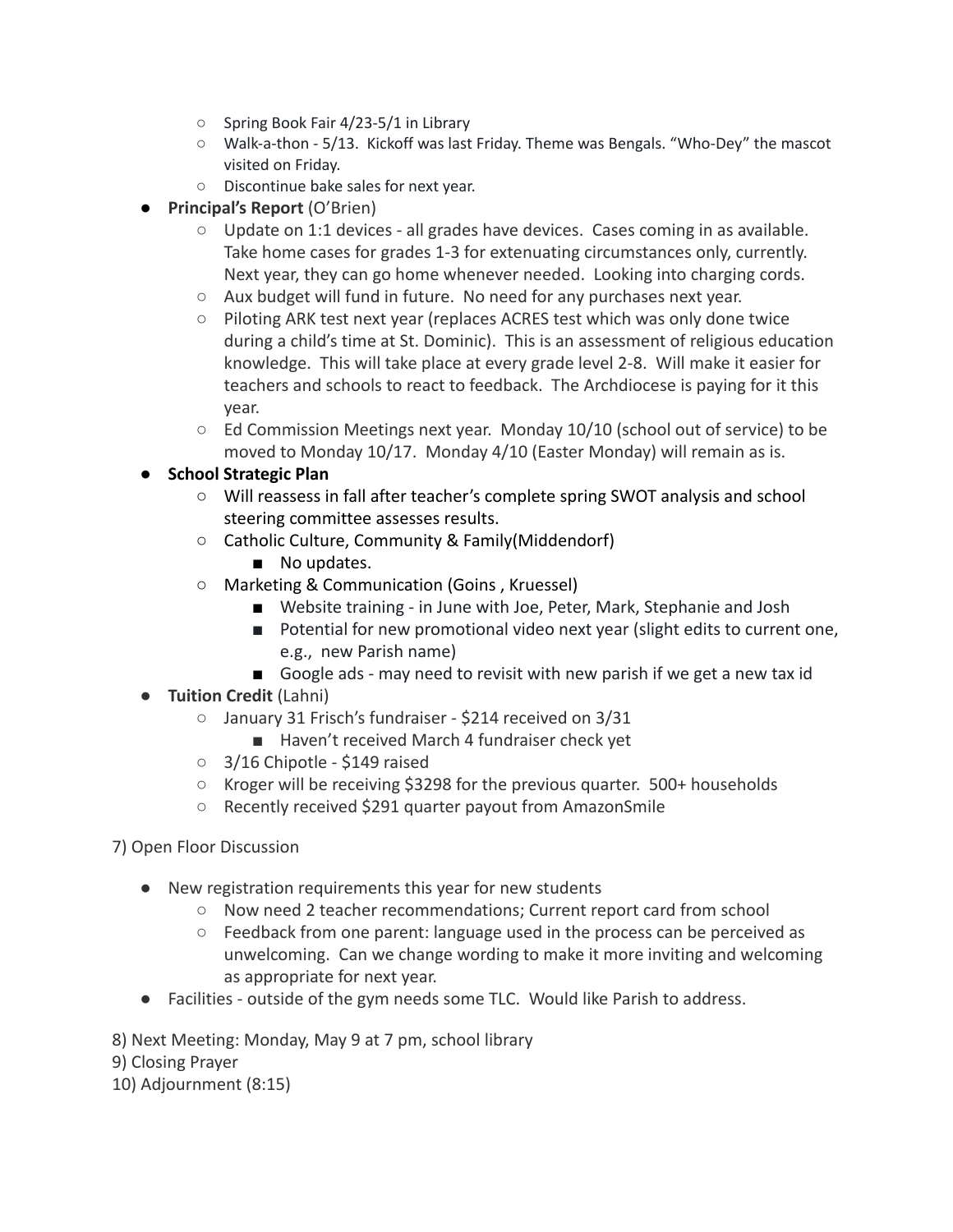- Spring Book Fair 4/23-5/1 in Library
- Walk-a-thon 5/13. Kickoff was last Friday. Theme was Bengals. "Who-Dey" the mascot visited on Friday.
- Discontinue bake sales for next year.
- **Principal's Report** (O'Brien)
	- Update on 1:1 devices all grades have devices. Cases coming in as available. Take home cases for grades 1-3 for extenuating circumstances only, currently. Next year, they can go home whenever needed. Looking into charging cords.
	- Aux budget will fund in future. No need for any purchases next year.
	- Piloting ARK test next year (replaces ACRES test which was only done twice during a child's time at St. Dominic). This is an assessment of religious education knowledge. This will take place at every grade level 2-8. Will make it easier for teachers and schools to react to feedback. The Archdiocese is paying for it this year.
	- $\circ$  Ed Commission Meetings next year. Monday 10/10 (school out of service) to be moved to Monday 10/17. Monday 4/10 (Easter Monday) will remain as is.

## ● **School Strategic Plan**

- Will reassess in fall after teacher's complete spring SWOT analysis and school steering committee assesses results.
- Catholic Culture, Community & Family(Middendorf)
	- No updates.
- Marketing & Communication (Goins , Kruessel)
	- Website training in June with Joe, Peter, Mark, Stephanie and Josh
	- Potential for new promotional video next year (slight edits to current one, e.g., new Parish name)
	- Google ads may need to revisit with new parish if we get a new tax id
- **Tuition Credit** (Lahni)
	- January 31 Frisch's fundraiser \$214 received on 3/31
		- Haven't received March 4 fundraiser check yet
	- 3/16 Chipotle \$149 raised
	- $\circ$  Kroger will be receiving \$3298 for the previous quarter. 500+ households
	- Recently received \$291 quarter payout from AmazonSmile
- 7) Open Floor Discussion
	- New registration requirements this year for new students
		- Now need 2 teacher recommendations; Current report card from school
		- Feedback from one parent: language used in the process can be perceived as unwelcoming. Can we change wording to make it more inviting and welcoming as appropriate for next year.
	- Facilities outside of the gym needs some TLC. Would like Parish to address.

8) Next Meeting: Monday, May 9 at 7 pm, school library

9) Closing Prayer

10) Adjournment (8:15)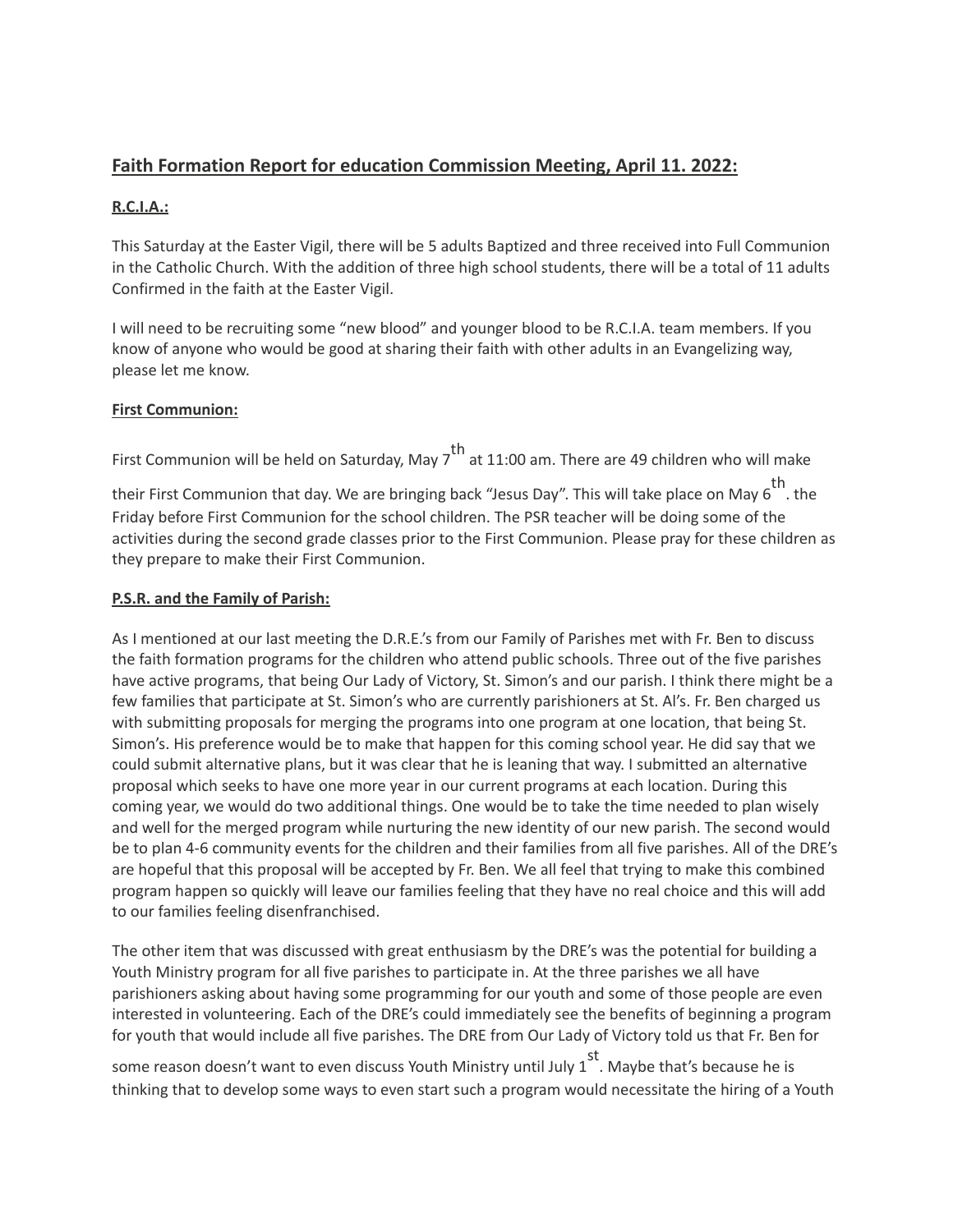# **Faith Formation Report for education Commission Meeting, April 11. 2022:**

#### **R.C.I.A.:**

This Saturday at the Easter Vigil, there will be 5 adults Baptized and three received into Full Communion in the Catholic Church. With the addition of three high school students, there will be a total of 11 adults Confirmed in the faith at the Easter Vigil.

I will need to be recruiting some "new blood" and younger blood to be R.C.I.A. team members. If you know of anyone who would be good at sharing their faith with other adults in an Evangelizing way, please let me know.

#### **First Communion:**

First Communion will be held on Saturday, May  $7^{\text{th}}$  at 11:00 am. There are 49 children who will make

their First Communion that day. We are bringing back "Jesus Day". This will take place on May 6<sup>th</sup>. the Friday before First Communion for the school children. The PSR teacher will be doing some of the activities during the second grade classes prior to the First Communion. Please pray for these children as they prepare to make their First Communion.

### **P.S.R. and the Family of Parish:**

As I mentioned at our last meeting the D.R.E.'s from our Family of Parishes met with Fr. Ben to discuss the faith formation programs for the children who attend public schools. Three out of the five parishes have active programs, that being Our Lady of Victory, St. Simon's and our parish. I think there might be a few families that participate at St. Simon's who are currently parishioners at St. Al's. Fr. Ben charged us with submitting proposals for merging the programs into one program at one location, that being St. Simon's. His preference would be to make that happen for this coming school year. He did say that we could submit alternative plans, but it was clear that he is leaning that way. I submitted an alternative proposal which seeks to have one more year in our current programs at each location. During this coming year, we would do two additional things. One would be to take the time needed to plan wisely and well for the merged program while nurturing the new identity of our new parish. The second would be to plan 4-6 community events for the children and their families from all five parishes. All of the DRE's are hopeful that this proposal will be accepted by Fr. Ben. We all feel that trying to make this combined program happen so quickly will leave our families feeling that they have no real choice and this will add to our families feeling disenfranchised.

The other item that was discussed with great enthusiasm by the DRE's was the potential for building a Youth Ministry program for all five parishes to participate in. At the three parishes we all have parishioners asking about having some programming for our youth and some of those people are even interested in volunteering. Each of the DRE's could immediately see the benefits of beginning a program for youth that would include all five parishes. The DRE from Our Lady of Victory told us that Fr. Ben for

some reason doesn't want to even discuss Youth Ministry until July 1<sup>st</sup>. Maybe that's because he is thinking that to develop some ways to even start such a program would necessitate the hiring of a Youth